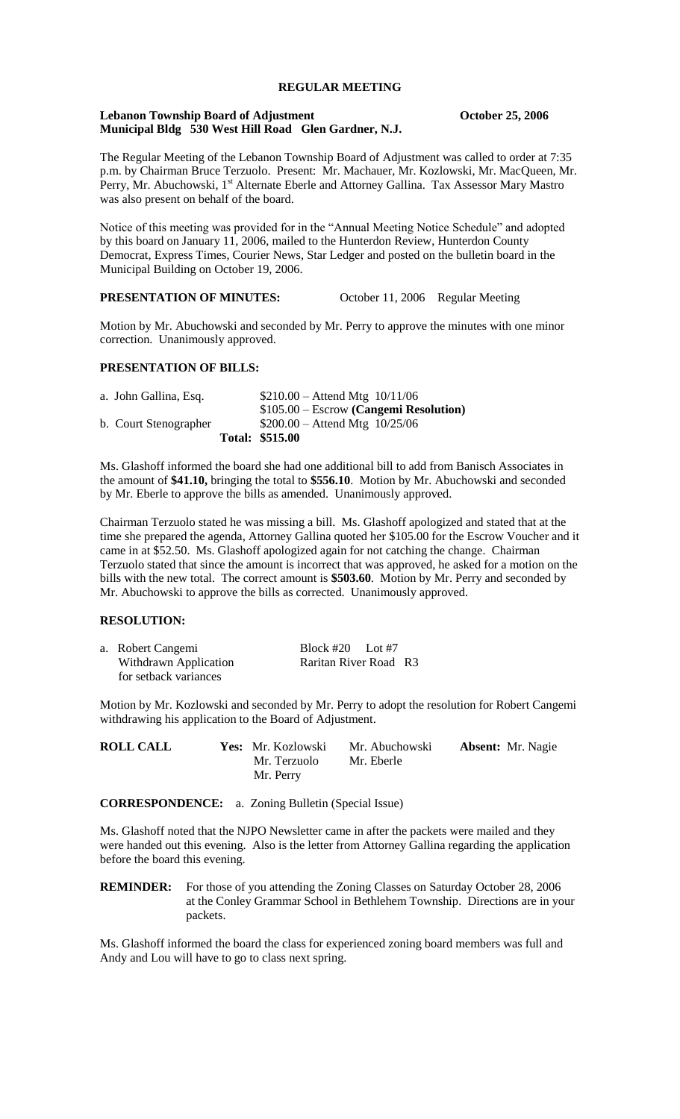# **REGULAR MEETING**

# **Lebanon Township Board of Adjustment October 25, 2006 Municipal Bldg 530 West Hill Road Glen Gardner, N.J.**

The Regular Meeting of the Lebanon Township Board of Adjustment was called to order at 7:35 p.m. by Chairman Bruce Terzuolo. Present: Mr. Machauer, Mr. Kozlowski, Mr. MacQueen, Mr. Perry, Mr. Abuchowski, 1<sup>st</sup> Alternate Eberle and Attorney Gallina. Tax Assessor Mary Mastro was also present on behalf of the board.

Notice of this meeting was provided for in the "Annual Meeting Notice Schedule" and adopted by this board on January 11, 2006, mailed to the Hunterdon Review, Hunterdon County Democrat, Express Times, Courier News, Star Ledger and posted on the bulletin board in the Municipal Building on October 19, 2006.

# **PRESENTATION OF MINUTES:** October 11, 2006 Regular Meeting

Motion by Mr. Abuchowski and seconded by Mr. Perry to approve the minutes with one minor correction. Unanimously approved.

## **PRESENTATION OF BILLS:**

| a. John Gallina, Esq. | $$210.00 -$ Attend Mtg $10/11/06$       |
|-----------------------|-----------------------------------------|
|                       | $$105.00 - Escrow$ (Cangemi Resolution) |
| b. Court Stenographer | $$200.00 -$ Attend Mtg $10/25/06$       |
|                       | Total: \$515.00                         |

Ms. Glashoff informed the board she had one additional bill to add from Banisch Associates in the amount of **\$41.10,** bringing the total to **\$556.10**. Motion by Mr. Abuchowski and seconded by Mr. Eberle to approve the bills as amended. Unanimously approved.

Chairman Terzuolo stated he was missing a bill. Ms. Glashoff apologized and stated that at the time she prepared the agenda, Attorney Gallina quoted her \$105.00 for the Escrow Voucher and it came in at \$52.50. Ms. Glashoff apologized again for not catching the change. Chairman Terzuolo stated that since the amount is incorrect that was approved, he asked for a motion on the bills with the new total. The correct amount is **\$503.60**. Motion by Mr. Perry and seconded by Mr. Abuchowski to approve the bills as corrected. Unanimously approved.

# **RESOLUTION:**

| a. Robert Cangemi     | Block #20 Lot #7      |  |
|-----------------------|-----------------------|--|
| Withdrawn Application | Raritan River Road R3 |  |
| for setback variances |                       |  |

Motion by Mr. Kozlowski and seconded by Mr. Perry to adopt the resolution for Robert Cangemi withdrawing his application to the Board of Adjustment.

| <b>ROLL CALL</b> | Yes: Mr. Kozlowski | Mr. Abuchowski | <b>Absent:</b> Mr. Nagie |
|------------------|--------------------|----------------|--------------------------|
|                  | Mr. Terzuolo       | Mr. Eberle     |                          |
|                  | Mr. Perry          |                |                          |

**CORRESPONDENCE:** a. Zoning Bulletin (Special Issue)

Ms. Glashoff noted that the NJPO Newsletter came in after the packets were mailed and they were handed out this evening. Also is the letter from Attorney Gallina regarding the application before the board this evening.

**REMINDER:** For those of you attending the Zoning Classes on Saturday October 28, 2006 at the Conley Grammar School in Bethlehem Township. Directions are in your packets.

Ms. Glashoff informed the board the class for experienced zoning board members was full and Andy and Lou will have to go to class next spring.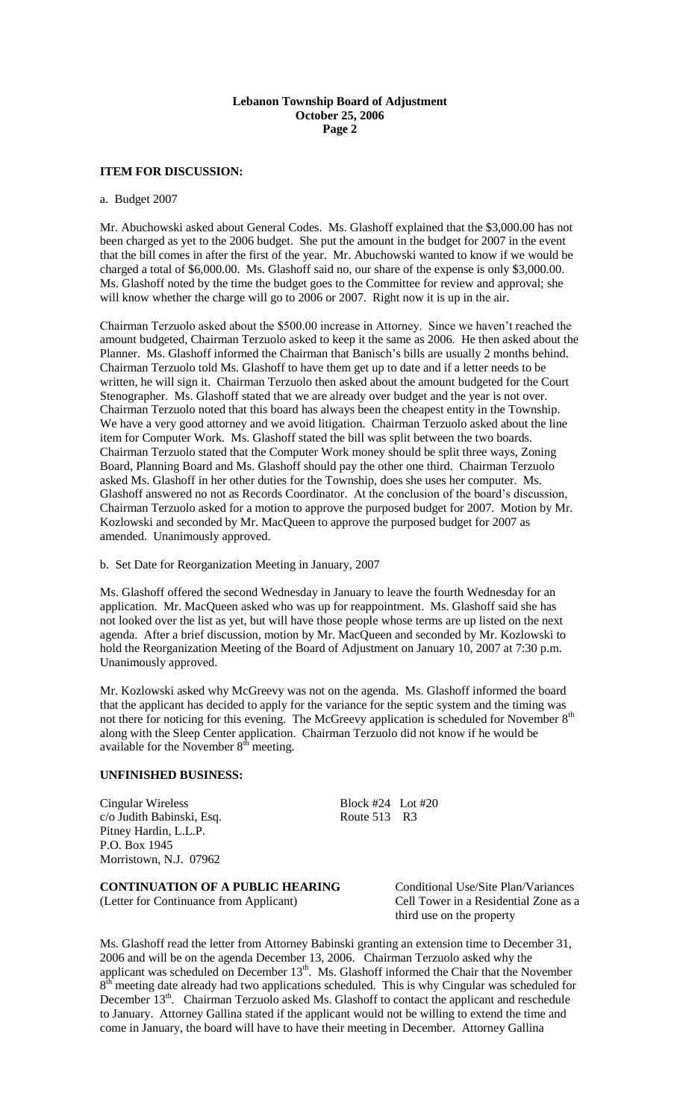# **ITEM FOR DISCUSSION:**

#### a. Budget 2007

Mr. Abuchowski asked about General Codes. Ms. Glashoff explained that the \$3,000.00 has not been charged as yet to the 2006 budget. She put the amount in the budget for 2007 in the event that the bill comes in after the first of the year. Mr. Abuchowski wanted to know if we would be charged a total of \$6,000.00. Ms. Glashoff said no, our share of the expense is only \$3,000.00. Ms. Glashoff noted by the time the budget goes to the Committee for review and approval; she will know whether the charge will go to 2006 or 2007. Right now it is up in the air.

Chairman Terzuolo asked about the \$500.00 increase in Attorney. Since we haven't reached the amount budgeted, Chairman Terzuolo asked to keep it the same as 2006. He then asked about the Planner. Ms. Glashoff informed the Chairman that Banisch's bills are usually 2 months behind. Chairman Terzuolo told Ms. Glashoff to have them get up to date and if a letter needs to be written, he will sign it. Chairman Terzuolo then asked about the amount budgeted for the Court Stenographer. Ms. Glashoff stated that we are already over budget and the year is not over. Chairman Terzuolo noted that this board has always been the cheapest entity in the Township. We have a very good attorney and we avoid litigation. Chairman Terzuolo asked about the line item for Computer Work. Ms. Glashoff stated the bill was split between the two boards. Chairman Terzuolo stated that the Computer Work money should be split three ways, Zoning Board, Planning Board and Ms. Glashoff should pay the other one third. Chairman Terzuolo asked Ms. Glashoff in her other duties for the Township, does she uses her computer. Ms. Glashoff answered no not as Records Coordinator. At the conclusion of the board's discussion, Chairman Terzuolo asked for a motion to approve the purposed budget for 2007. Motion by Mr. Kozlowski and seconded by Mr. MacQueen to approve the purposed budget for 2007 as amended. Unanimously approved.

b. Set Date for Reorganization Meeting in January, 2007

Ms. Glashoff offered the second Wednesday in January to leave the fourth Wednesday for an application. Mr. MacQueen asked who was up for reappointment. Ms. Glashoff said she has not looked over the list as yet, but will have those people whose terms are up listed on the next agenda. After a brief discussion, motion by Mr. MacQueen and seconded by Mr. Kozlowski to hold the Reorganization Meeting of the Board of Adjustment on January 10, 2007 at 7:30 p.m. Unanimously approved.

Mr. Kozlowski asked why McGreevy was not on the agenda. Ms. Glashoff informed the board that the applicant has decided to apply for the variance for the septic system and the timing was not there for noticing for this evening. The McGreevy application is scheduled for November 8<sup>th</sup> along with the Sleep Center application. Chairman Terzuolo did not know if he would be available for the November  $8<sup>th</sup>$  meeting.

## **UNFINISHED BUSINESS:**

Cingular Wireless Block #24 Lot #20 c/o Judith Babinski, Esq. Route 513 R3 Pitney Hardin, L.L.P. P.O. Box 1945 Morristown, N.J. 07962

# **CONTINUATION OF A PUBLIC HEARING** Conditional Use/Site Plan/Variances

(Letter for Continuance from Applicant) Cell Tower in a Residential Zone as a third use on the property

Ms. Glashoff read the letter from Attorney Babinski granting an extension time to December 31, 2006 and will be on the agenda December 13, 2006. Chairman Terzuolo asked why the applicant was scheduled on December  $13<sup>th</sup>$ . Ms. Glashoff informed the Chair that the November  $8<sup>th</sup>$  meeting date already had two applications scheduled. This is why Cingular was scheduled for December 13<sup>th</sup>. Chairman Terzuolo asked Ms. Glashoff to contact the applicant and reschedule to January. Attorney Gallina stated if the applicant would not be willing to extend the time and come in January, the board will have to have their meeting in December. Attorney Gallina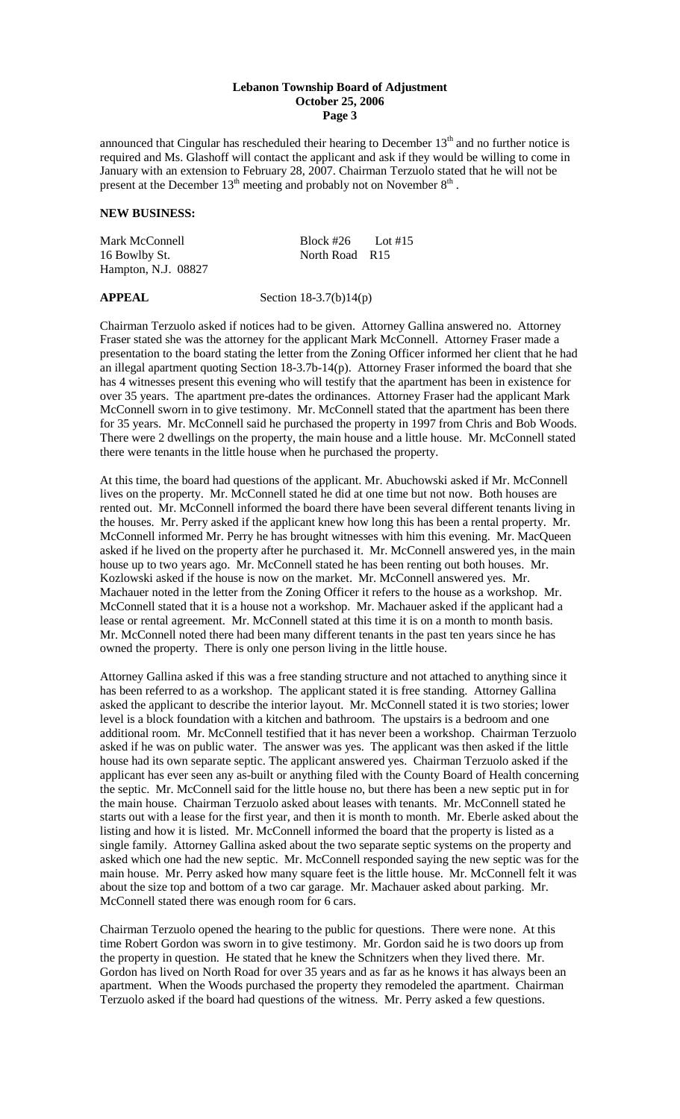announced that Cingular has rescheduled their hearing to December  $13<sup>th</sup>$  and no further notice is required and Ms. Glashoff will contact the applicant and ask if they would be willing to come in January with an extension to February 28, 2007. Chairman Terzuolo stated that he will not be present at the December  $13<sup>th</sup>$  meeting and probably not on November  $8<sup>th</sup>$ .

# **NEW BUSINESS:**

| Mark McConnell      | Block #26      | $\sim$ Lot #15 |
|---------------------|----------------|----------------|
| 16 Bowlby St.       | North Road R15 |                |
| Hampton, N.J. 08827 |                |                |

**APPEAL** Section 18-3.7(b)14(p)

Chairman Terzuolo asked if notices had to be given. Attorney Gallina answered no. Attorney Fraser stated she was the attorney for the applicant Mark McConnell. Attorney Fraser made a presentation to the board stating the letter from the Zoning Officer informed her client that he had an illegal apartment quoting Section 18-3.7b-14(p). Attorney Fraser informed the board that she has 4 witnesses present this evening who will testify that the apartment has been in existence for over 35 years. The apartment pre-dates the ordinances. Attorney Fraser had the applicant Mark McConnell sworn in to give testimony. Mr. McConnell stated that the apartment has been there for 35 years. Mr. McConnell said he purchased the property in 1997 from Chris and Bob Woods. There were 2 dwellings on the property, the main house and a little house. Mr. McConnell stated there were tenants in the little house when he purchased the property.

At this time, the board had questions of the applicant. Mr. Abuchowski asked if Mr. McConnell lives on the property. Mr. McConnell stated he did at one time but not now. Both houses are rented out. Mr. McConnell informed the board there have been several different tenants living in the houses. Mr. Perry asked if the applicant knew how long this has been a rental property. Mr. McConnell informed Mr. Perry he has brought witnesses with him this evening. Mr. MacQueen asked if he lived on the property after he purchased it. Mr. McConnell answered yes, in the main house up to two years ago. Mr. McConnell stated he has been renting out both houses. Mr. Kozlowski asked if the house is now on the market. Mr. McConnell answered yes. Mr. Machauer noted in the letter from the Zoning Officer it refers to the house as a workshop. Mr. McConnell stated that it is a house not a workshop. Mr. Machauer asked if the applicant had a lease or rental agreement. Mr. McConnell stated at this time it is on a month to month basis. Mr. McConnell noted there had been many different tenants in the past ten years since he has owned the property. There is only one person living in the little house.

Attorney Gallina asked if this was a free standing structure and not attached to anything since it has been referred to as a workshop. The applicant stated it is free standing. Attorney Gallina asked the applicant to describe the interior layout. Mr. McConnell stated it is two stories; lower level is a block foundation with a kitchen and bathroom. The upstairs is a bedroom and one additional room. Mr. McConnell testified that it has never been a workshop. Chairman Terzuolo asked if he was on public water. The answer was yes. The applicant was then asked if the little house had its own separate septic. The applicant answered yes. Chairman Terzuolo asked if the applicant has ever seen any as-built or anything filed with the County Board of Health concerning the septic. Mr. McConnell said for the little house no, but there has been a new septic put in for the main house. Chairman Terzuolo asked about leases with tenants. Mr. McConnell stated he starts out with a lease for the first year, and then it is month to month. Mr. Eberle asked about the listing and how it is listed. Mr. McConnell informed the board that the property is listed as a single family. Attorney Gallina asked about the two separate septic systems on the property and asked which one had the new septic. Mr. McConnell responded saying the new septic was for the main house. Mr. Perry asked how many square feet is the little house. Mr. McConnell felt it was about the size top and bottom of a two car garage. Mr. Machauer asked about parking. Mr. McConnell stated there was enough room for 6 cars.

Chairman Terzuolo opened the hearing to the public for questions. There were none. At this time Robert Gordon was sworn in to give testimony. Mr. Gordon said he is two doors up from the property in question. He stated that he knew the Schnitzers when they lived there. Mr. Gordon has lived on North Road for over 35 years and as far as he knows it has always been an apartment. When the Woods purchased the property they remodeled the apartment. Chairman Terzuolo asked if the board had questions of the witness. Mr. Perry asked a few questions.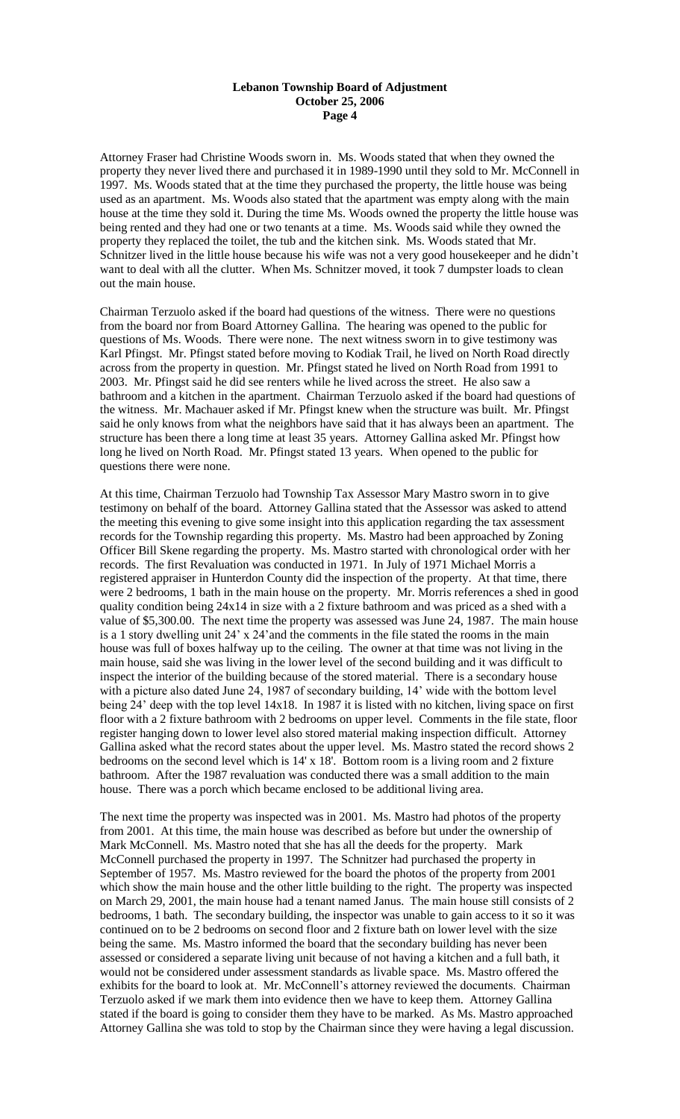Attorney Fraser had Christine Woods sworn in. Ms. Woods stated that when they owned the property they never lived there and purchased it in 1989-1990 until they sold to Mr. McConnell in 1997. Ms. Woods stated that at the time they purchased the property, the little house was being used as an apartment. Ms. Woods also stated that the apartment was empty along with the main house at the time they sold it. During the time Ms. Woods owned the property the little house was being rented and they had one or two tenants at a time. Ms. Woods said while they owned the property they replaced the toilet, the tub and the kitchen sink. Ms. Woods stated that Mr. Schnitzer lived in the little house because his wife was not a very good housekeeper and he didn't want to deal with all the clutter. When Ms. Schnitzer moved, it took 7 dumpster loads to clean out the main house.

Chairman Terzuolo asked if the board had questions of the witness. There were no questions from the board nor from Board Attorney Gallina. The hearing was opened to the public for questions of Ms. Woods. There were none. The next witness sworn in to give testimony was Karl Pfingst. Mr. Pfingst stated before moving to Kodiak Trail, he lived on North Road directly across from the property in question. Mr. Pfingst stated he lived on North Road from 1991 to 2003. Mr. Pfingst said he did see renters while he lived across the street. He also saw a bathroom and a kitchen in the apartment. Chairman Terzuolo asked if the board had questions of the witness. Mr. Machauer asked if Mr. Pfingst knew when the structure was built. Mr. Pfingst said he only knows from what the neighbors have said that it has always been an apartment. The structure has been there a long time at least 35 years. Attorney Gallina asked Mr. Pfingst how long he lived on North Road. Mr. Pfingst stated 13 years. When opened to the public for questions there were none.

At this time, Chairman Terzuolo had Township Tax Assessor Mary Mastro sworn in to give testimony on behalf of the board. Attorney Gallina stated that the Assessor was asked to attend the meeting this evening to give some insight into this application regarding the tax assessment records for the Township regarding this property. Ms. Mastro had been approached by Zoning Officer Bill Skene regarding the property. Ms. Mastro started with chronological order with her records. The first Revaluation was conducted in 1971. In July of 1971 Michael Morris a registered appraiser in Hunterdon County did the inspection of the property. At that time, there were 2 bedrooms, 1 bath in the main house on the property. Mr. Morris references a shed in good quality condition being 24x14 in size with a 2 fixture bathroom and was priced as a shed with a value of \$5,300.00. The next time the property was assessed was June 24, 1987. The main house is a 1 story dwelling unit 24' x 24'and the comments in the file stated the rooms in the main house was full of boxes halfway up to the ceiling. The owner at that time was not living in the main house, said she was living in the lower level of the second building and it was difficult to inspect the interior of the building because of the stored material. There is a secondary house with a picture also dated June 24, 1987 of secondary building, 14' wide with the bottom level being 24' deep with the top level 14x18. In 1987 it is listed with no kitchen, living space on first floor with a 2 fixture bathroom with 2 bedrooms on upper level. Comments in the file state, floor register hanging down to lower level also stored material making inspection difficult. Attorney Gallina asked what the record states about the upper level. Ms. Mastro stated the record shows 2 bedrooms on the second level which is 14' x 18'. Bottom room is a living room and 2 fixture bathroom. After the 1987 revaluation was conducted there was a small addition to the main house. There was a porch which became enclosed to be additional living area.

The next time the property was inspected was in 2001. Ms. Mastro had photos of the property from 2001. At this time, the main house was described as before but under the ownership of Mark McConnell. Ms. Mastro noted that she has all the deeds for the property. Mark McConnell purchased the property in 1997. The Schnitzer had purchased the property in September of 1957. Ms. Mastro reviewed for the board the photos of the property from 2001 which show the main house and the other little building to the right. The property was inspected on March 29, 2001, the main house had a tenant named Janus. The main house still consists of 2 bedrooms, 1 bath. The secondary building, the inspector was unable to gain access to it so it was continued on to be 2 bedrooms on second floor and 2 fixture bath on lower level with the size being the same. Ms. Mastro informed the board that the secondary building has never been assessed or considered a separate living unit because of not having a kitchen and a full bath, it would not be considered under assessment standards as livable space. Ms. Mastro offered the exhibits for the board to look at. Mr. McConnell's attorney reviewed the documents. Chairman Terzuolo asked if we mark them into evidence then we have to keep them. Attorney Gallina stated if the board is going to consider them they have to be marked. As Ms. Mastro approached Attorney Gallina she was told to stop by the Chairman since they were having a legal discussion.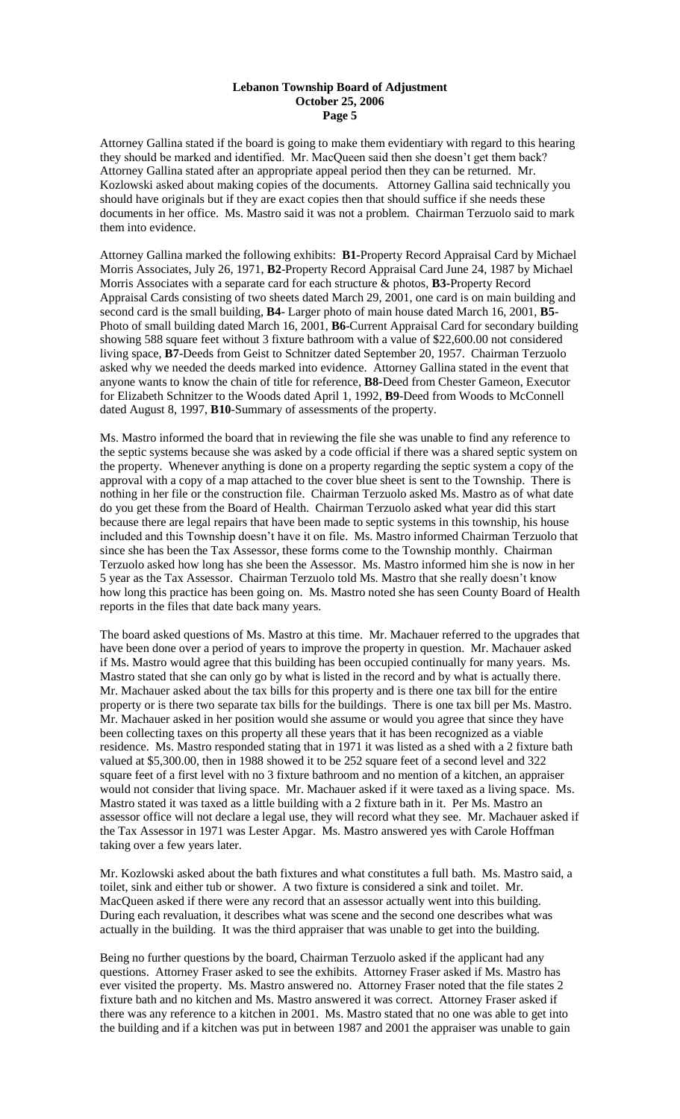Attorney Gallina stated if the board is going to make them evidentiary with regard to this hearing they should be marked and identified. Mr. MacQueen said then she doesn't get them back? Attorney Gallina stated after an appropriate appeal period then they can be returned. Mr. Kozlowski asked about making copies of the documents. Attorney Gallina said technically you should have originals but if they are exact copies then that should suffice if she needs these documents in her office. Ms. Mastro said it was not a problem. Chairman Terzuolo said to mark them into evidence.

Attorney Gallina marked the following exhibits: **B1-**Property Record Appraisal Card by Michael Morris Associates, July 26, 1971, **B2**-Property Record Appraisal Card June 24, 1987 by Michael Morris Associates with a separate card for each structure & photos, **B3-**Property Record Appraisal Cards consisting of two sheets dated March 29, 2001, one card is on main building and second card is the small building, **B4**- Larger photo of main house dated March 16, 2001, **B5**- Photo of small building dated March 16, 2001, **B6**-Current Appraisal Card for secondary building showing 588 square feet without 3 fixture bathroom with a value of \$22,600.00 not considered living space, **B7**-Deeds from Geist to Schnitzer dated September 20, 1957. Chairman Terzuolo asked why we needed the deeds marked into evidence. Attorney Gallina stated in the event that anyone wants to know the chain of title for reference, **B8-**Deed from Chester Gameon, Executor for Elizabeth Schnitzer to the Woods dated April 1, 1992, **B9**-Deed from Woods to McConnell dated August 8, 1997, **B10**-Summary of assessments of the property.

Ms. Mastro informed the board that in reviewing the file she was unable to find any reference to the septic systems because she was asked by a code official if there was a shared septic system on the property. Whenever anything is done on a property regarding the septic system a copy of the approval with a copy of a map attached to the cover blue sheet is sent to the Township. There is nothing in her file or the construction file. Chairman Terzuolo asked Ms. Mastro as of what date do you get these from the Board of Health. Chairman Terzuolo asked what year did this start because there are legal repairs that have been made to septic systems in this township, his house included and this Township doesn't have it on file. Ms. Mastro informed Chairman Terzuolo that since she has been the Tax Assessor, these forms come to the Township monthly. Chairman Terzuolo asked how long has she been the Assessor. Ms. Mastro informed him she is now in her 5 year as the Tax Assessor. Chairman Terzuolo told Ms. Mastro that she really doesn't know how long this practice has been going on. Ms. Mastro noted she has seen County Board of Health reports in the files that date back many years.

The board asked questions of Ms. Mastro at this time. Mr. Machauer referred to the upgrades that have been done over a period of years to improve the property in question. Mr. Machauer asked if Ms. Mastro would agree that this building has been occupied continually for many years. Ms. Mastro stated that she can only go by what is listed in the record and by what is actually there. Mr. Machauer asked about the tax bills for this property and is there one tax bill for the entire property or is there two separate tax bills for the buildings. There is one tax bill per Ms. Mastro. Mr. Machauer asked in her position would she assume or would you agree that since they have been collecting taxes on this property all these years that it has been recognized as a viable residence. Ms. Mastro responded stating that in 1971 it was listed as a shed with a 2 fixture bath valued at \$5,300.00, then in 1988 showed it to be 252 square feet of a second level and 322 square feet of a first level with no 3 fixture bathroom and no mention of a kitchen, an appraiser would not consider that living space. Mr. Machauer asked if it were taxed as a living space. Ms. Mastro stated it was taxed as a little building with a 2 fixture bath in it. Per Ms. Mastro an assessor office will not declare a legal use, they will record what they see. Mr. Machauer asked if the Tax Assessor in 1971 was Lester Apgar. Ms. Mastro answered yes with Carole Hoffman taking over a few years later.

Mr. Kozlowski asked about the bath fixtures and what constitutes a full bath. Ms. Mastro said, a toilet, sink and either tub or shower. A two fixture is considered a sink and toilet. Mr. MacQueen asked if there were any record that an assessor actually went into this building. During each revaluation, it describes what was scene and the second one describes what was actually in the building. It was the third appraiser that was unable to get into the building.

Being no further questions by the board, Chairman Terzuolo asked if the applicant had any questions. Attorney Fraser asked to see the exhibits. Attorney Fraser asked if Ms. Mastro has ever visited the property. Ms. Mastro answered no. Attorney Fraser noted that the file states 2 fixture bath and no kitchen and Ms. Mastro answered it was correct. Attorney Fraser asked if there was any reference to a kitchen in 2001. Ms. Mastro stated that no one was able to get into the building and if a kitchen was put in between 1987 and 2001 the appraiser was unable to gain